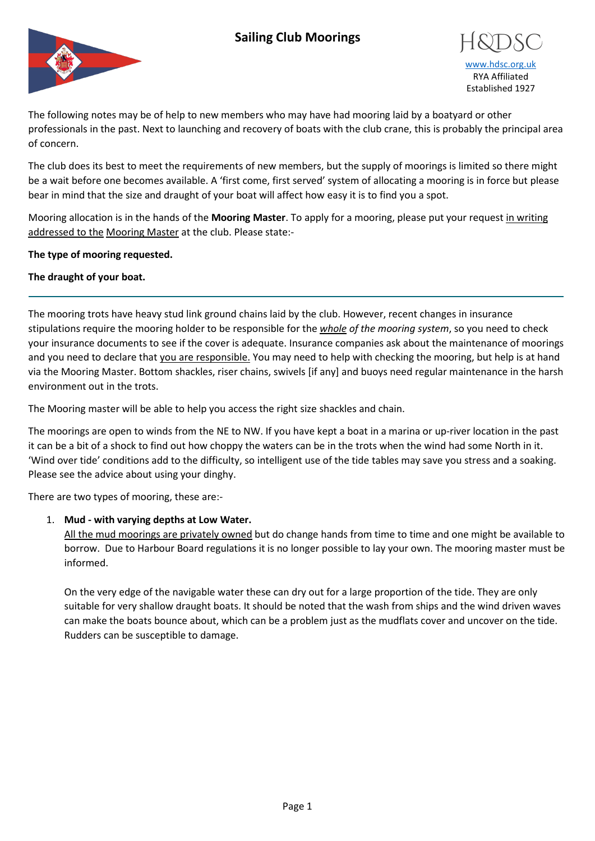# **Sailing Club Moorings**





The following notes may be of help to new members who may have had mooring laid by a boatyard or other professionals in the past. Next to launching and recovery of boats with the club crane, this is probably the principal area of concern.

The club does its best to meet the requirements of new members, but the supply of moorings is limited so there might be a wait before one becomes available. A 'first come, first served' system of allocating a mooring is in force but please bear in mind that the size and draught of your boat will affect how easy it is to find you a spot.

Mooring allocation is in the hands of the **Mooring Master**. To apply for a mooring, please put your request in writing addressed to the Mooring Master at the club. Please state:-

### **The type of mooring requested.**

### **The draught of your boat.**

The mooring trots have heavy stud link ground chains laid by the club. However, recent changes in insurance stipulations require the mooring holder to be responsible for the *whole of the mooring system*, so you need to check your insurance documents to see if the cover is adequate. Insurance companies ask about the maintenance of moorings and you need to declare that you are responsible. You may need to help with checking the mooring, but help is at hand via the Mooring Master. Bottom shackles, riser chains, swivels [if any] and buoys need regular maintenance in the harsh environment out in the trots.

The Mooring master will be able to help you access the right size shackles and chain.

The moorings are open to winds from the NE to NW. If you have kept a boat in a marina or up-river location in the past it can be a bit of a shock to find out how choppy the waters can be in the trots when the wind had some North in it. 'Wind over tide' conditions add to the difficulty, so intelligent use of the tide tables may save you stress and a soaking. Please see the advice about using your dinghy.

There are two types of mooring, these are:-

### 1. **Mud - with varying depths at Low Water.**

All the mud moorings are privately owned but do change hands from time to time and one might be available to borrow. Due to Harbour Board regulations it is no longer possible to lay your own. The mooring master must be informed.

On the very edge of the navigable water these can dry out for a large proportion of the tide. They are only suitable for very shallow draught boats. It should be noted that the wash from ships and the wind driven waves can make the boats bounce about, which can be a problem just as the mudflats cover and uncover on the tide. Rudders can be susceptible to damage.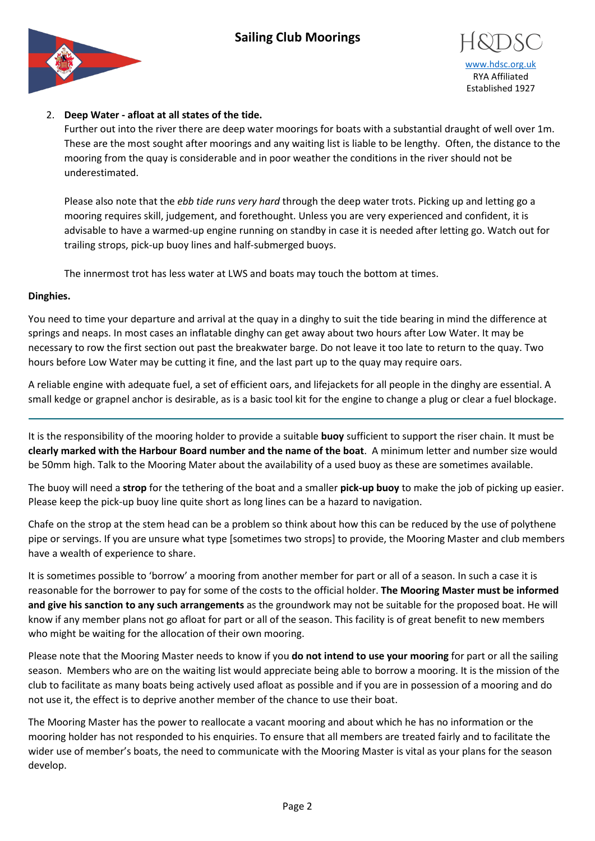# **Sailing Club Moorings**





## 2. **Deep Water - afloat at all states of the tide.**

Further out into the river there are deep water moorings for boats with a substantial draught of well over 1m. These are the most sought after moorings and any waiting list is liable to be lengthy.Often, the distance to the mooring from the quay is considerable and in poor weather the conditions in the river should not be underestimated.

Please also note that the *ebb tide runs very hard* through the deep water trots. Picking up and letting go a mooring requires skill, judgement, and forethought. Unless you are very experienced and confident, it is advisable to have a warmed-up engine running on standby in case it is needed after letting go. Watch out for trailing strops, pick-up buoy lines and half-submerged buoys.

The innermost trot has less water at LWS and boats may touch the bottom at times.

### **Dinghies.**

You need to time your departure and arrival at the quay in a dinghy to suit the tide bearing in mind the difference at springs and neaps. In most cases an inflatable dinghy can get away about two hours after Low Water. It may be necessary to row the first section out past the breakwater barge. Do not leave it too late to return to the quay. Two hours before Low Water may be cutting it fine, and the last part up to the quay may require oars.

A reliable engine with adequate fuel, a set of efficient oars, and lifejackets for all people in the dinghy are essential. A small kedge or grapnel anchor is desirable, as is a basic tool kit for the engine to change a plug or clear a fuel blockage.

It is the responsibility of the mooring holder to provide a suitable **buoy** sufficient to support the riser chain. It must be **clearly marked with the Harbour Board number and the name of the boat**. A minimum letter and number size would be 50mm high. Talk to the Mooring Mater about the availability of a used buoy as these are sometimes available.

The buoy will need a **strop** for the tethering of the boat and a smaller **pick-up buoy** to make the job of picking up easier. Please keep the pick-up buoy line quite short as long lines can be a hazard to navigation.

Chafe on the strop at the stem head can be a problem so think about how this can be reduced by the use of polythene pipe or servings. If you are unsure what type [sometimes two strops] to provide, the Mooring Master and club members have a wealth of experience to share.

It is sometimes possible to 'borrow' a mooring from another member for part or all of a season. In such a case it is reasonable for the borrower to pay for some of the costs to the official holder. **The Mooring Master must be informed and give his sanction to any such arrangements** as the groundwork may not be suitable for the proposed boat. He will know if any member plans not go afloat for part or all of the season. This facility is of great benefit to new members who might be waiting for the allocation of their own mooring.

Please note that the Mooring Master needs to know if you **do not intend to use your mooring** for part or all the sailing season. Members who are on the waiting list would appreciate being able to borrow a mooring. It is the mission of the club to facilitate as many boats being actively used afloat as possible and if you are in possession of a mooring and do not use it, the effect is to deprive another member of the chance to use their boat.

The Mooring Master has the power to reallocate a vacant mooring and about which he has no information or the mooring holder has not responded to his enquiries. To ensure that all members are treated fairly and to facilitate the wider use of member's boats, the need to communicate with the Mooring Master is vital as your plans for the season develop.